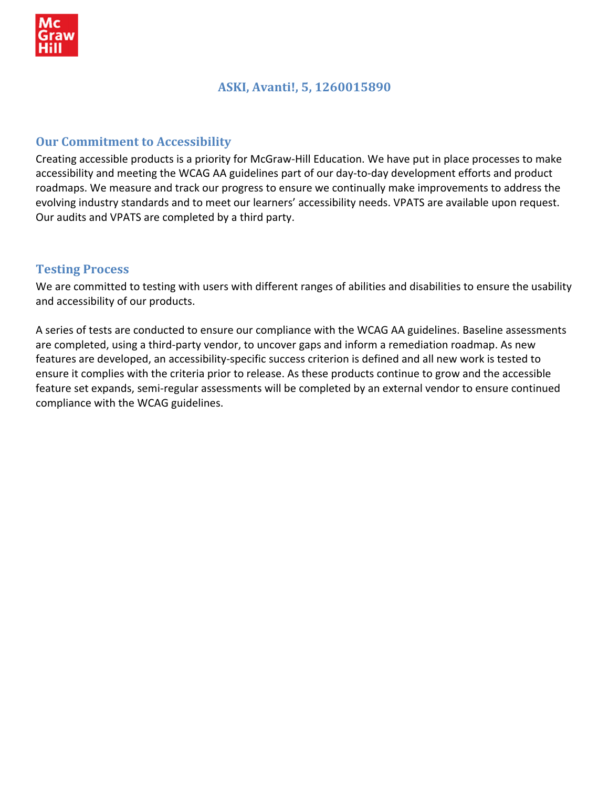

## **ASKI, Avanti!, 5, 1260015890**

### **Our Commitment to Accessibility**

Creating accessible products is a priority for McGraw‐Hill Education. We have put in place processes to make accessibility and meeting the WCAG AA guidelines part of our day-to-day development efforts and product roadmaps. We measure and track our progress to ensure we continually make improvements to address the evolving industry standards and to meet our learners' accessibility needs. VPATS are available upon request. Our audits and VPATS are completed by a third party.

#### **Testing Process**

We are committed to testing with users with different ranges of abilities and disabilities to ensure the usability and accessibility of our products.

A series of tests are conducted to ensure our compliance with the WCAG AA guidelines. Baseline assessments are completed, using a third‐party vendor, to uncover gaps and inform a remediation roadmap. As new features are developed, an accessibility‐specific success criterion is defined and all new work is tested to ensure it complies with the criteria prior to release. As these products continue to grow and the accessible feature set expands, semi-regular assessments will be completed by an external vendor to ensure continued compliance with the WCAG guidelines.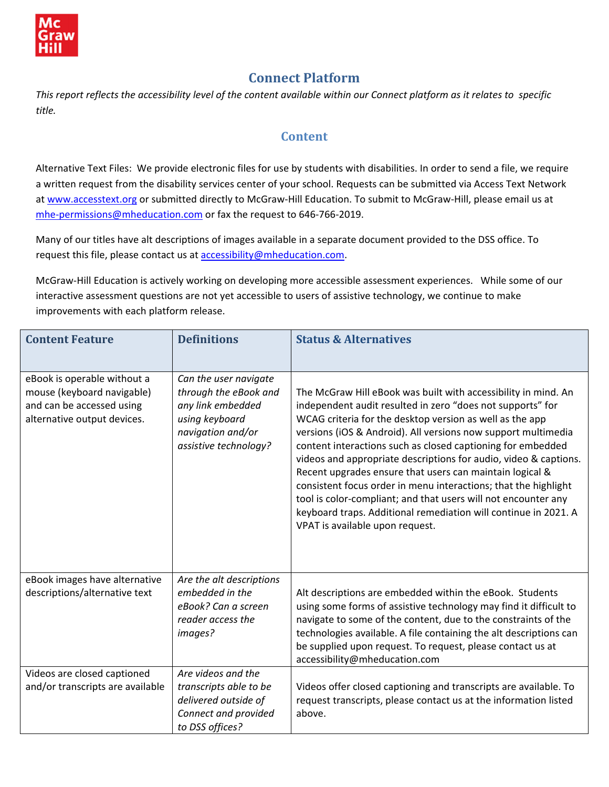

# **Connect Platform**

This report reflects the accessibility level of the content available within our Connect platform as it relates to specific *title.* 

#### **Content**

Alternative Text Files: We provide electronic files for use by students with disabilities. In order to send a file, we require a written request from the disability services center of your school. Requests can be submitted via Access Text Network at [www.accesstext.org](http://www.accesstext.org/) or submitted directly to McGraw-Hill Education. To submit to McGraw-Hill, please email us at mhe-[permissions@mheducation.com](mailto:mhe-permissions@mheducation.com) or fax the request to 646-766-2019.

Many of our titles have alt descriptions of images available in a separate document provided to the DSS office. To request this file, please contact us at **[accessibility@mheducation.com](mailto:accessibility@mheducation.com).** 

McGraw‐Hill Education is actively working on developing more accessible assessment experiences. While some of our interactive assessment questions are not yet accessible to users of assistive technology, we continue to make improvements with each platform release.

| <b>Content Feature</b>                                                                                                | <b>Definitions</b>                                                                                                                  | <b>Status &amp; Alternatives</b>                                                                                                                                                                                                                                                                                                                                                                                                                                                                                                                                                                                                                                                                    |
|-----------------------------------------------------------------------------------------------------------------------|-------------------------------------------------------------------------------------------------------------------------------------|-----------------------------------------------------------------------------------------------------------------------------------------------------------------------------------------------------------------------------------------------------------------------------------------------------------------------------------------------------------------------------------------------------------------------------------------------------------------------------------------------------------------------------------------------------------------------------------------------------------------------------------------------------------------------------------------------------|
|                                                                                                                       |                                                                                                                                     |                                                                                                                                                                                                                                                                                                                                                                                                                                                                                                                                                                                                                                                                                                     |
| eBook is operable without a<br>mouse (keyboard navigable)<br>and can be accessed using<br>alternative output devices. | Can the user navigate<br>through the eBook and<br>any link embedded<br>using keyboard<br>navigation and/or<br>assistive technology? | The McGraw Hill eBook was built with accessibility in mind. An<br>independent audit resulted in zero "does not supports" for<br>WCAG criteria for the desktop version as well as the app<br>versions (iOS & Android). All versions now support multimedia<br>content interactions such as closed captioning for embedded<br>videos and appropriate descriptions for audio, video & captions.<br>Recent upgrades ensure that users can maintain logical &<br>consistent focus order in menu interactions; that the highlight<br>tool is color-compliant; and that users will not encounter any<br>keyboard traps. Additional remediation will continue in 2021. A<br>VPAT is available upon request. |
| eBook images have alternative<br>descriptions/alternative text                                                        | Are the alt descriptions<br>embedded in the<br>eBook? Can a screen<br>reader access the<br>images?                                  | Alt descriptions are embedded within the eBook. Students<br>using some forms of assistive technology may find it difficult to<br>navigate to some of the content, due to the constraints of the<br>technologies available. A file containing the alt descriptions can<br>be supplied upon request. To request, please contact us at<br>accessibility@mheducation.com                                                                                                                                                                                                                                                                                                                                |
| Videos are closed captioned<br>and/or transcripts are available                                                       | Are videos and the<br>transcripts able to be<br>delivered outside of<br>Connect and provided<br>to DSS offices?                     | Videos offer closed captioning and transcripts are available. To<br>request transcripts, please contact us at the information listed<br>above.                                                                                                                                                                                                                                                                                                                                                                                                                                                                                                                                                      |